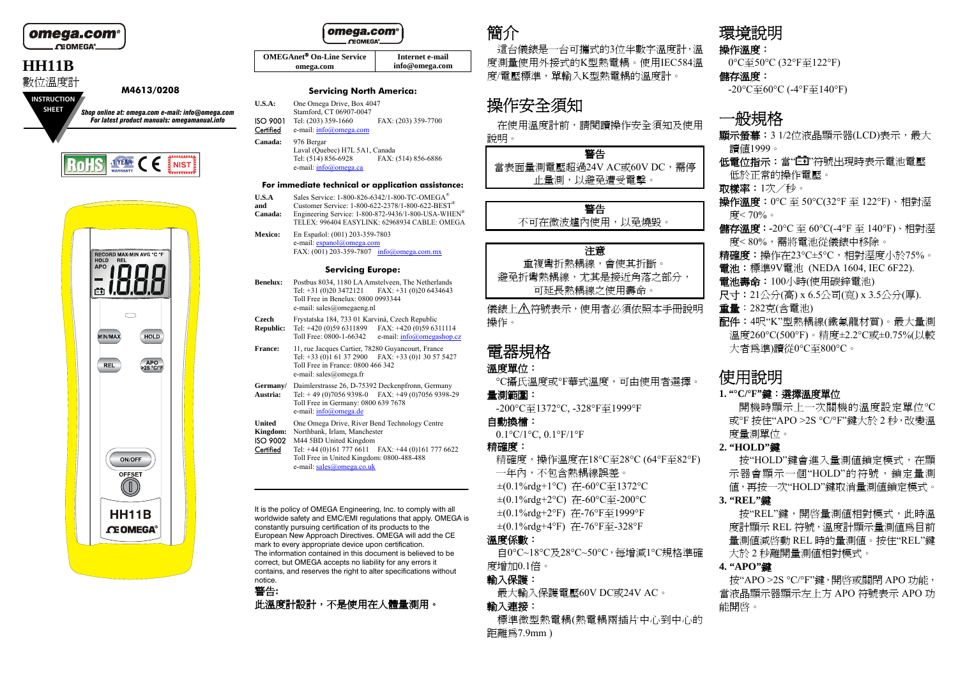

#### omega.com **CEOMEGA**

**OMEGAnet On-Line Service omega.com Internet e-mail info@omega.com**

### **Servicing North America:**

- **U.S.A:** One Omega Drive, Box 4047 Stamford, CT 06907-0047<br>ISO 9001 Tel: (203) 359-1660 Tel: (203) 359-1660 FAX: (203) 359-7700 Certified e-mail: info@omega.com
- **Canada:** 976 Bergar

Laval (Quebec) H7L 5A1, Canada<br>Tel: (514) 856-6928 FAX: Tel: (514) 856-6928 FAX: (514) 856-6886 e-mail: info@omega.ca

#### **For immediate technical or application assistance:**

- **U.S.A** Sales Service: 1-800-826-6342/1-800-TC-OMEGA®
- **and** Customer Service: 1-800-622-2378/1-800-622-BEST® **Canada:** Engineering Service: 1-800-872-9436/1-800-USA-WHEN® TELEX: 996404 EASYLINK: 62968934 CABLE: OMEGA
- **Mexico:** En Español: (001) 203-359-7803 e-mail: espanol@omega.com FAX: (001) 203-359-7807 info@omega.com.mx

#### **Servicing Europe:**

- **Benelux:** Postbus 8034, 1180 LA Amstelveen, The Netherlands Tel: +31 (0)20 3472121 FAX: +31 (0)20 6434643 Toll Free in Benelux: 0800 0993344 e-mail: sales@omegaeng.nl
- **Czech** Frystatska 184, 733 01 Karviná, Czech Republic
- **Republic:** Tel: +420 (0)59 6311899 FAX: +420 (0)59 6311114 Toll Free: 0800-1-66342 e-mail: info@omegashop.cz
- **France:** 11, rue Jacques Cartier, 78280 Guyancourt, France Tel: +33 (0)1 61 37 2900 FAX: +33 (0)1 30 57 5427 Toll Free in France: 0800 466 342 e-mail: sales@omega.fr
- **Germany/** Daimlerstrasse 26, D-75392 Deckenpfronn, Germany
- **Austria:** Tel: + 49 (0)7056 9398-0 FAX: +49 (0)7056 9398-29 Toll Free in Germany: 0800 639 7678 e-mail: info@omega.de
- **United** One Omega Drive, River Bend Technology Centre
- **Kingdom:** Northbank, Irlam, Manchester ISO 9002 M44 5BD United Kingdom
- 
- Certified Tel: +44 (0)161 777 6611 FAX: +44 (0)161 777 6622 Toll Free in United Kingdom: 0800-488-488 e-mail: sales@omega.co.uk

It is the policy of OMEGA Engineering, Inc. to comply with all worldwide safety and EMC/EMI regulations that apply. OMEGA is constantly pursuing certification of its products to the European New Approach Directives. OMEGA will add the CE mark to every appropriate device upon certification. The information contained in this document is believed to be correct, but OMEGA accepts no liability for any errors it contains, and reserves the right to alter specifications without notice.

## 警告**:**  此溫度計設計,不是使用在人體量測用。

# 簡介

這台儀錶是一台可攜式的3位半數字溫度計,溫 度測量使用外接式的 <sup>K</sup>型熱電耦。使用IEC584 溫 度/電壓標準,單輸入 <sup>K</sup>型熱電耦的溫度計。

# 操作安全須知

在使用溫度計前,請閱讀操作安全須知及使用 說明。 警告

當表面量測電壓超過24V AC或60V DC,需停 止量測,以避免遭受電擊。

### 警告 不可在微波爐內使用,以免燒毀。

#### 注意

重複彎折熱耦線,會使其折斷。 避免折彎熱耦線,尤其是接近角落之部分, 可延長熱耦線之使用壽命。

儀錶上 公符號表示,使用者必須依照本手冊說明 操作。

## 電器規格

### 溫度單位:

°C攝氏溫度或°F華式溫度,可由使用者選擇。

#### 量測範圍:

-200°C 至1372°C, -328°F 至1999°F

#### 自動換檔:

0.1°C/1°C, 0.1°F/1°F

## 精確度:

精確度,操作溫度在18°C 至28°C (64°F 至82°F) 一年內,不包含熱耦線誤差。 ±(0.1%rdg+1°C) 在-60°C 至1372°C ±(0.1%rdg+2°C) 在-60°C 至-200°C ±(0.1%rdg+2°F) 在-76°F 至1999°F ±(0.1%rdg+4°F) 在-76°F 至-328°F

### 溫度係數:

自0°C~18°C 及28°C~50°C,每增減1°C規格準確 度增加0.1倍。

### 輸入保護:

最大輸入保護電壓60V DC 或24V AC。

#### 輸入連接:

標準微型熱電耦(熱電耦兩插片中心到中心的 距離為7.9mm )

# 環境說明

操作溫度: 0°C至50°C (32°F 至122°F)

#### 儲存溫度:

-20°C 至60°C (-4°F 至140°F)

# 一般規格

- **顯示螢幕:**3 1/2位液晶顯示器(LCD)表示,最大 讀值1999。
- 低電位指示:當"LEI"符號出現時表示電池電壓 低於正常的操作電壓。
- 取樣率:1次/秒。
- **操作溫度:0**℃至 50℃(32℉ 至 122℉)、相對溼 度< 70%。
- **儲存溫度:-**20℃ 至 60℃(-4℉ 至 140℉)、相對溼 度< 80%,需將電池從儀錶中移除。
- 精確度:操作在23°C±5°C,相對溼度小於75%。
- 電池:標準9V電池 (NEDA 1604, IEC 6F22).
- 電池壽命:100小時(使用碳鋅電池)
- 尺寸:21公分(高) x 6.5公司(寛) x 3.5公分(厚). 重量:<sup>282</sup> 克(含電池)
- 配件:4呎"K"型熱耦線(鐵氟龍材質)。最大量測 溫度260°C(500°F)。精度±2.2°C 或±0.75%(以較 大者為準)讀從0°C 至800°C。

# 使用說明

## **1. "°C/°F"**鍵:選擇溫度單位

開機時顯示上一次關機的溫度設定單位°C 或°F 按住"APO >2S °C/°F"鍵大於 <sup>2</sup> 秒,改變溫 度量測單位。

## **2. "HOLD"**鍵

按"HOLD"鍵會進入量測值鎖定模式,在顯 示器會顯示一個"HOLD"的符號,鎖定量測 值,再按一次"HOLD"鍵取消量測值鎖定模式。

#### **3. "REL"**鍵

按"REL"鍵,開啓量測值相對模式,此時溫 度計顯示 REL 符號,溫度計顯示量測值為目前 量測值減啓動 REL 時的量測值。按住"REL"鍵 大於 <sup>2</sup> 秒離開量測值相對模式。

## **4. "APO"**鍵

按"APO >2S °C/°F"鍵,開啓或關閉 APO 功能, 當液晶顯示器顯示左上方 APO 符號表示 APO 功 能開啓。